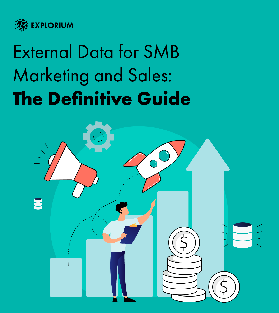

# **External Data for SMB Marketing and Sales: The Definitive Guide**

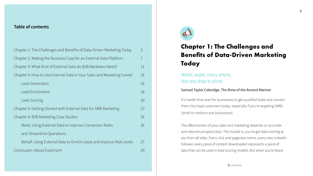**3**

### **Table of contents**

| $\mathcal{S}$  |
|----------------|
| $\overline{7}$ |
| 11             |
| 16             |
| 16             |
| 18             |
| 20             |
| 22             |
| 26             |
| 26             |
|                |
| 27             |
| 29             |
|                |

# **Chapter 1: The Challenges and Benefits of Data-Driven Marketing**



### *Water, water, every where, Nor any drop to drink.*

### Samuel Taylor Coleridge, The Rime of the Ancient Mariner

It's harder than ever for businesses to get qualified leads and convert them into loyal customers today, especially if you're targeting SMBs (small to medium size businesses).

The effectiveness of your sales and marketing depends on accurate and relevant prospect data. The trouble is, you've got data coming at you from all sides. Every click and pageview online, every new LinkedIn follower, every piece of content downloaded represents a piece of data that can be used in lead scoring models. But when you're faced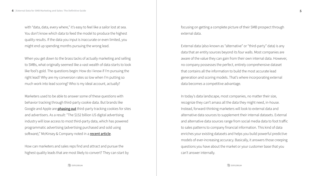with "data, data, every where," it's easy to feel like a sailor lost at sea. You don't know which data to feed the model to produce the highest quality results. If the data you input is inaccurate or even limited, you might end up spending months pursuing the wrong lead.

Marketers used to be able to answer some of these questions with behavior tracking through third-party cookie data. But brands like Google and Apple are **[phasing out](https://www.wsj.com/articles/google-delays-cookie-removal-to-late-2023-11624542064)** third-party tracking cookies for sites and advertisers. As a result: "The \$152 billion US digital advertising industry will lose access to most third-party data, which has powered programmatic advertising (advertising purchased and sold using software)," McKinsey & Company noted in a **[recent article](https://www.mckinsey.com/business-functions/marketing-and-sales/our-insights/the-demise-of-third-party-cookies-and-identifiers)**.

When you get down to the brass tacks of actually marketing and selling to SMBs, what originally seemed like a vast wealth of data starts to look like fool's gold. The questions begin: How do I know if I'm pursuing the right lead? Why are my conversion rates so low when I'm putting so much work into lead scoring? Who is my ideal account, actually?

How can marketers and sales reps find and attract and pursue the highest quality leads that are most likely to convert? They can start by focusing on getting a complete picture of their SMB prospect through external data.

External data (also known as "alternative" or "third-party" data) is any data that an entity sources beyond its four walls. Most companies are aware of the value they can gain from their own internal data. However, no company possesses the perfect, entirely comprehensive dataset that contains all the information to build the most accurate lead generation and scoring models. That's where incorporating external data becomes a competitive advantage.

In today's data landscape, most companies, no matter their size, recognize they can't amass all the data they might need, in-house. Instead, forward-thinking marketers will look to external data and alternative data sources to supplement their internal datasets. External and alternative data sources range from social media data to foot traffic to sales patterns to company financial information. This kind of data enriches your existing datasets and helps you build powerful predictive models of ever-increasing accuracy. Basically, it answers those creeping questions you have about the market or your customer base that you can't answer internally.

**EXPLORIUM**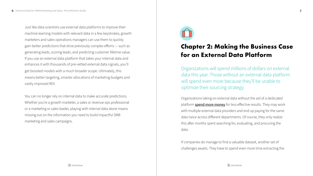Just like data scientists use external data platforms to improve their machine learning models with relevant data in a few keystrokes, growth marketers and sales operations managers can use them to quickly gain better predictions that drive previously complex efforts — such as generating leads, scoring leads, and predicting customer lifetime value. If you use an external data platform that takes your internal data and enhances it with thousands of pre-vetted external data signals, you'll get boosted models with a much broader scope. Ultimately, this means better targeting, smarter allocations of marketing budgets and vastly improved ROI.

You can no longer rely on internal data to make accurate predictions. Whether you're a growth marketer, a sales or revenue ops professional or a marketing or sales leader, playing with internal data alone means missing out on the information you need to build impactful SMB marketing and sales campaigns.



## **Chapter 2: Making the Business Case for an External Data Platform**

Organizations taking on external data without the aid of a dedicated platform **[spend more money](https://www.explorium.ai/resource/explorium-2021state-of-external-data-acquisition/)** for less effective results. They may work with multiple external data providers and end up paying for the same data twice across different departments. Of course, they only realize this after months spent searching for, evaluating, and procuring the

data.

If companies do manage to find a valuable dataset, another set of challenges awaits. They have to spend even more time extracting the

Organizations will spend millions of dollars on external data this year. Those without an external data platform will spend even more because they'll be unable to optimize their sourcing strategy.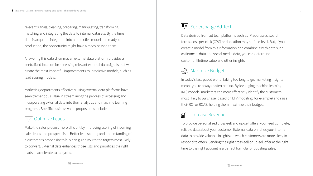relevant signals, cleaning, preparing, manipulating, transforming, matching and integrating the data to internal datasets. By the time data is acquired, integrated into a predictive model and ready for production, the opportunity might have already passed them.

Answering this data dilemma, an external data platform provides a centralized location for accessing relevant external data signals that will create the most impactful improvements to predictive models, such as lead scoring models.

Marketing departments e ffectively using external data platforms have seen tremendous value in streamlining the process of accessing and incorporating external data into their analytics and machine learning programs. Specific business value propositions include:

## **T** Optimize Leads

Make the sales process more e fficient by improving scoring of incoming sales leads and prospect lists. Better lead scoring and understanding of a customer's propensity to buy can guide you to the targets most likely to convert. External data enhances those lists and prioritizes the right leads to accelerate sales cycles.

Data derived from ad tech platforms such as IP addresses, search terms, cost-per-click (CPC) and location may surface-level. But, if you create a model from this information and combine it with data such as financial data and social media data, you can determine customer lifetime value and other insights.

In today's fast-paced world, taking too long to get marketing insights means you're always a step behind. By leveraging machine learning most likely to purchase (based on LTV modeling, for example) and raise their ROI or ROAS, helping them maximize their budget.

(ML) models, marketers can more e ffectively identify the customers

To provide personalized cross-sell and up-sell o ffers, you need complete, reliable data about your customer. External data enriches your internal data to provide valuable insights on which customers are more likely to respond to o ffers. Sending the right cross-sell or up-sell o ffer at the right time to the right account is a perfect formula for boosting sales.

### Supercharge Ad Tech

### **Maximize Budget**

### Increase Revenue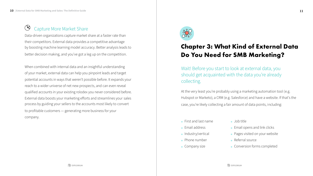Data-driven organizations capture market share at a faster rate than their competitors. External data provides a competitive advantage by boosting machine learning model accuracy. Better analysis leads to better decision making, and you've got a leg up on the competition.

### $\circledcirc$ Capture More Market Share

- First and last name
- Email address
- **Industry/vertical**
- Phone number
- Company size
- Job title
- **Email opens and link clicks**
- Pages visited on your website
- Referral source
- **Conversion forms completed**

When combined with internal data and an insightful understanding of your market, external data can help you pinpoint leads and target potential accounts in ways that weren't possible before. It expands your reach to a wider universe of net new prospects, and can even reveal qualified accounts in your existing rolodex you never considered before. External data boosts your marketing efforts and streamlines your sales process by guiding your sellers to the accounts most likely to convert to profitable customers — generating more business for your company.



- 
- 

**EXPLORIUM** 

## **Chapter 3: What Kind of External Data Do You Need for SMB Marketing?**

Wait! Before you start to look at external data, you should get acquainted with the data you're already collecting.

At the very least you're probably using a marketing automation tool (e.g. Hubspot or Marketo), a CRM (e.g. Salesforce) and have a website. If that's the case, you're likely collecting a fair amount of data points, including: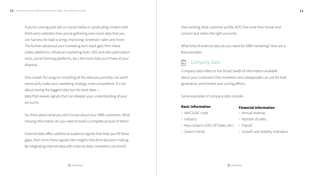If you're running paid ads on social media or syndicating content with third-party websites then you're gathering even more data that you can harness for lead scoring, improving conversion rates and more. The further advanced your marketing tech stack gets from there (video platforms, influencer marketing tools, SEO and site optimization tools, social listening platforms, etc.) the more data you'll have at your disposal.

One caveat: focusing on compiling all the data you possibly can won't necessarily make your marketing strategy more competitive. It's not about having the biggest data but the best data data that reveals signals that can deepen your understanding of your accounts.

- NAICS/SIC code
- Industry
- Key contacts (CEO, VP Sales, etc.)
- Annual revenue
- Number of sales
- Payroll
- Growth and stability indicators

So, think about what you don't know about your SMB customers. What missing information do you need to build a complete picture of them?

External data offers additional audience signals that help you fill these gaps, then turns these signals into insights that drive decision-making. By integrating internal data with external data, marketers can enrich

their existing ideal customer profile (ICP), fine-tune their funnel and convert and retain the right accounts.

What kind of external data do you need for SMB marketing? Here are a few examples.

 $|\bar{\mathbf{u}}|$ 

Company data refers to the broad swath of information available about your customers that marketers and salespeople can use for lead generation, enrichment and scoring efforts.

Some examples of company data include:

- 
- 
- Search trends

### **Basic Information**

### **Financial Information**

### Company Data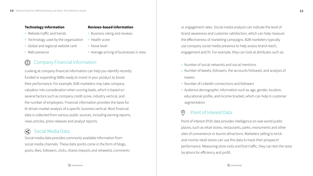### **Technology Information**

- Website traffic and trends
- Technology used by the organization
- Global and regional website rank
- Web presence

### **Reviews-based information**

- Business rating and reviews
- **Health score**
- Noise level
- Average pricing of businesses in area

### Company Financial Information  $\circled(5)$

### Social Media Data  $\left(\begin{smallmatrix}\bullet\\ \bullet\\ \bullet\end{smallmatrix}\right)$

Looking at company financial information can help you identify recently funded or expanding SMBs ready to invest in your product to boost their performance. For example, B2B marketers may take company valuation into consideration when scoring leads, which is based on several factors such as company credit score, industry vertical, and the number of employees. Financial information provides the basis for AI-driven market analysis of a specific business vertical. Most financial data is collected from various public sources, including earning reports, news articles, press releases and analyst reports.

Social media data provides commonly available information from social media channels. These data points come in the form of blogs, posts, likes, followers, clicks, shares (reposts and retweets), comments

or engagement rates. Social media analysis can indicate the level of brand awareness and customer satisfaction, which can help measure the effectiveness of marketing campaigns. B2B marketers typically use company social media presence to help assess brand reach, engagement and fit. For example, they can look at attributes such as:

Number of social networks and social mentions Number of tweets, followers, the accounts followed, and analysis of

tweets

Number of LinkedIn connections and followers

Audience demographic information such as age, gender, location, educational profile, and income bracket, which can help in customer segmentation

Point of interest (POI) data provides intelligence on real-world public places, such as retail stores, restaurants, parks, monuments and other sites of convenience or tourist attractions. Marketers selling to brickand-mortar retail stores can use this data to track their prospects' performance. Measuring store visits and foot traffic, they can test the store locations for efficiency and profit.

### Point of Interest Data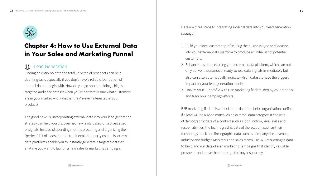

## **Chapter 4: How to Use External Data in Your Sales and Marketing Funnel**

Finding an entry point to the total universe of prospects can be a daunting task, especially if you don't have a reliable foundation of internal data to begin with. How do you go about building a highlytargeted audience dataset when you're not totally sure what customers are in your market — or whether they're even interested in your product?

1. Build your ideal customer profile. Plug the business type and location into your external data platform to produce an initial list of potential customers.

The good news is, incorporating external data into your lead generation strategy can help you discover net new leads based on a diverse set of signals. Instead of spending months procuring and organizing the "perfect" list of leads through traditional third party channels, external data platforms enable you to instantly generate a targeted dataset anytime you want to launch a new sales or marketing campaign.



Here are three steps to integrating external data into your lead generation strategy:

Enhance this dataset using your external data platform, which can not 2. only deliver thousands of ready-to-use data signals immediately but also can also automatically indicate which datasets have the biggest impact on your lead generation model.

Finalize your ICP profile with B2B marketing fit data, deploy your models 3.and track your campaign efforts.

B2B marketing fit data is a set of static data that helps organizations define if a lead will be a good match. As an external data category, it consists of demographic data of a contact such as job function, level, skills and responsibilities, the technographic data of the account such as their technology stack and firmographic data such as company size, revenue, industry and budget. Marketers and sales teams use B2B marketing fit data to build and run data-driven marketing campaigns that identify valuable prospects and move them through the buyer's journey.

**EXPLORIUM**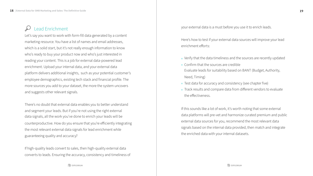Let's say you want to work with form-fill data generated by a content marketing resource. You have a list of names and email addresses, which is a solid start, but it's not really enough information to know who's ready to buy your product now and who's just interested in reading your content. This is a job for external data-powered lead enrichment. Upload your internal data, and your external data platform delivers additional insights, such as your potential customer's employee demographics, existing tech stack and financial profile. The more sources you add to your dataset, the more the system uncovers and suggests other relevant signals.

There's no doubt that external data enables you to better understand and segment your leads. But if you're not using the right external data signals, all the work you've done to enrich your leads will be counterproductive. How do you ensure that you're efficiently integrating the most relevant external data signals for lead enrichment while guaranteeing quality and accuracy?

If high-quality leads convert to sales, then high-quality external data converts to leads. Ensuring the accuracy, consistency and timeliness of

**EXPLORIUM** 

Here's how to test if your external data sources will improve your lead enrichment efforts:

Verify that the data timeliness and the sources are recently updated Confirm that the sources are credible Evaluate leads for suitability based on BANT (Budget, Authority, Need, Timing) **•** Test data for accuracy and consistency (see chapter five) Track results and compare data from different vendors to evaluate the effectiveness.

If this sounds like a lot of work, it's worth noting that some external data platforms will pre-vet and harmonize curated premium and public external data sources for you, recommend the most relevant data signals based on the internal data provided, then match and integrate the enriched data with your internal datasets.

Lead Enrichment and the sternal data is a must before you use it to enrich leads.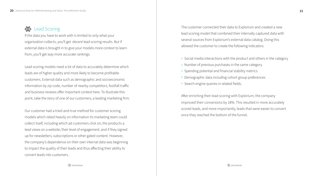## $\begin{matrix} 1 & 1 \\ 1 & 1 \end{matrix}$

If the data you have to work with is limited to only what your organization collects, you'll get decent lead scoring results. But if external data is brought in to give your models more context to learn from, you'll get way more accurate rankings.

Lead scoring models need a lot of data to accurately determine which leads are of higher quality and more likely to become profitable customers. External data such as demographic and socioeconomic information by zip code, number of nearby competitors, footfall traffic and business reviews offer important context here. To illustrate this point, take the story of one of our customers, a leading marketing firm.

Lead Scoring **The customer connected their data to Explorium and created a new** lead scoring model that combined their internally captured data with several sources from Explorium's external data catalog. Doing this allowed the customer to create the following indicators:

> Social media interactions with the product and others in the category • Number of previous purchases in the same category • Spending potential and financial stability metrics Demographic data including cohort group preferences **Search engine queries in related fields.**

Our customer had a tried-and-true method for customer scoring models which relied heavily on information its marketing team could collect itself, including which ad customers click on; the products a lead views on a website; their level of engagement; and if they signed up for newsletters, subscriptions or other gated content. However, the company's dependence on their own internal data was beginning to impact the quality of their leads and thus affecting their ability to convert leads into customers.

After enriching their lead scoring with Explorium, the company improved their conversions by 18%. This resulted in more accurately scored leads, and more importantly, leads that were easier to convert once they reached the bottom of the funnel.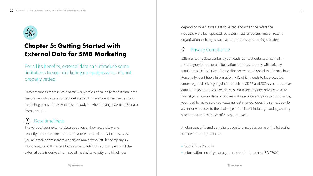

## **Chapter 5: Getting Started with External Data for SMB Marketing**

The value of your external data depends on how accurately and recently its sources are updated. If your external data platform serves you an email address from a decision maker who left he company six months ago, you'll waste a lot of cycles pitching the wrong person. If the external data is derived from social media, its validity and timeliness

## Data timeliness

Data timeliness represents a particularly difficult challenge for external data vendors — out-of-date contact details can throw a wrench in the best laid marketing plans. Here's what else to look for when buying external B2B data from a vendor.

For all its benefits, external data can introduce some limitations to your marketing campaigns when it's not properly vetted.

depend on when it was last collected and when the reference websites were last updated. Datasets must reflect any and all recent organizational changes, such as promotions or reporting updates.

 $\bigcap$ 

B2B marketing data contains your leads' contact details, which fall in the category of personal information and must comply with privacy regulations. Data derived from online sources and social media may have Personally Identifiable Information (PII), which needs to be protected under regional privacy regulations such as GDPR and CCPA. A competitive data strategy demands a world-class data security and privacy posture. Even if your organization prioritizes data security and privacy compliance, you need to make sure your external data vendor does the same. Look for a vendor who rises to the challenge of the latest industry-leading security standards and has the certificates to prove it.

A robust security and compliance posture includes some of the following frameworks and practices:

### Privacy Compliance

• SOC 2 Type 2 audits

• Information security management standards such as ISO 27001

**EXPLORIUM**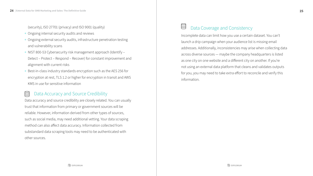(security), ISO 27701 (privacy) and ISO 9001 (quality)

- Ongoing internal security audits and reviews
- Ongoing external security audits, infrastructure penetration testing and vulnerability scans
- NIST 800-53 Cybersecurity risk management approach (Identify Detect – Protect – Respond – Recover) for constant improvement and alignment with current risks
- Best-in-class industry standards encryption such as the AES 256 for encryption at rest, TLS 1.2 or higher for encryption in transit and AWS KMS in use for sensitive information

### Data Accuracy and Source Credibility  $\Box$

Data accuracy and source credibility are closely related. You can usually trust that information from primary or government sources will be reliable. However, information derived from other types of sources, such as social media, may need additional vetting. Your data scraping method can also affect data accuracy. Information collected from substandard data scraping tools may need to be authenticated with other sources.

Incomplete data can limit how you use a certain dataset. You can't launch a drip campaign when your audience list is missing email addresses. Additionally, inconsistencies may arise when collecting data across diverse sources — maybe the company headquarters is listed as one city on one website and a different city on another. If you're not using an external data platform that cleans and validates outputs for you, you may need to take extra effort to reconcile and verify this information.

### Data Coverage and Consistency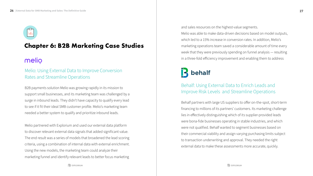# hħ

## **Chapter 6: B2B Marketing Case Studies**

## melio

B2B payments solution Melio was growing rapidly in its mission to support small businesses, and its marketing team was challenged by a surge in inbound leads. They didn't have capacity to qualify every lead to see if it fit their ideal SMB customer profile. Melio's marketing team needed a better system to qualify and prioritize inbound leads.

Melio partnered with Explorium and used our external data platform to discover relevant external data signals that added significant value. The end result was a series of models that broadened the lead scoring criteria, using a combination of internal data with external enrichment. Using the new models, the marketing team could analyze their marketing funnel and identify relevant leads to better focus marketing

Behalf partners with large US suppliers to offer on-the-spot, short-term financing to millions of its partners' customers. Its marketing challenge lies in effectively distinguishing which of its supplier-provided leads were bona-fide businesses operating in stable industries, and which were not qualified. Behalf wanted to segment businesses based on their commercial viability and assign varying purchasing limits subject to transaction underwriting and approval. They needed the right external data to make these assessments more accurate, quickly.

**EXPLORIUM** 

## **R** behalf

### Melio: Using External Data to Improve Conversion Rates and Streamline Operations

### Behalf: Using External Data to Enrich Leads and Improve Risk Levels and Streamline Operations

and sales resources on the highest-value segments. Melio was able to make data-driven decisions based on model outputs, which led to a 15% increase in conversion rates. In addition, Melio's marketing operations team saved a considerable amount of time every week that they were previously spending on funnel analysis — resulting in a three-fold efficiency improvement and enabling them to address

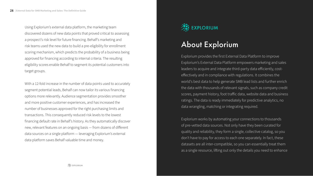Using Explorium's external data platform, the marketing team discovered dozens of new data points that proved critical to assessing a prospect's risk level for future financing. Behalf's marketing and risk teams used the new data to build a pre-eligibility for enrollment scoring mechanism, which predicts the probability of a business being approved for financing according to internal criteria. The resulting eligibility scores enable Behalf to segment its potential customers into target groups.

With a 12-fold increase in the number of data points used to accurately segment potential leads, Behalf can now tailor its various financing options more relevantly. Audience segmentation provides smoother and more positive customer experiences, and has increased the number of businesses approved for the right purchasing limits and transactions. This consequently reduced risk levels to the lowest financing default rate in Behalf's history. As they automatically discover new, relevant features on an ongoing basis — from dozens of di fferent data sources on a single platform — leveraging Explorium's external data platform saves Behalf valuable time and money.



## About Explorium

Explorium provides the first External Data Platform to improve Explorium's External Data Platform empowers marketing and sales leaders to acquire and integrate third-party data e fficiently, costeffectively and in compliance with regulations. It combines the world's best data to help generate SMB lead lists and further enrich the data with thousands of relevant signals, such as company credit scores, payment history, foot tra ffic data, website data and business ratings. The data is ready immediately for predictive analytics, no data wrangling, matching or integrating required.

## **EXPLORIUM**

Explorium works by automating your connections to thousands of pre-vetted data sources. Not only have they been curated for quality and reliability, they form a single, collective catalog, so you don't have to pay for access to each one separately. In fact, these datasets are all inter-compatible, so you can essentially treat them as a single resource, li fting out only the details you need to enhance